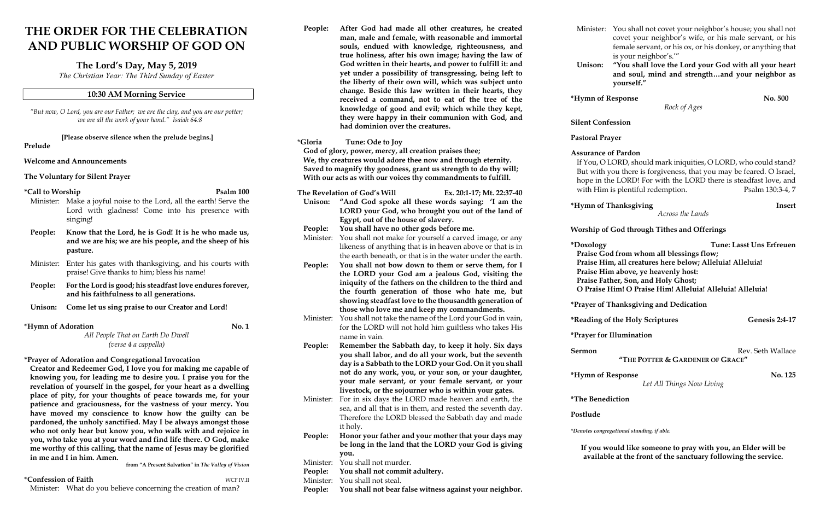# THE ORDER FOR THE CELEBRATION AND PUBLIC WORSHIP OF GOD ON

# The Lord's Day, May 5, 2019

The Christian Year: The Third Sunday of Easter

#### 10:30 AM Morning Service

"But now, O Lord, you are our Father; we are the clay, and you are our potter; we are all the work of your hand." Isaiah 64:8

[Please observe silence when the prelude begins.]

Prelude

#### Welcome and Announcements

#### The Voluntary for Silent Prayer

## \*Call to Worship Psalm 100

- Minister: Make a joyful noise to the Lord, all the earth! Serve the Lord with gladness! Come into his presence with singing!
- People: Know that the Lord, he is God! It is he who made us, and we are his; we are his people, and the sheep of his pasture.
- Minister: Enter his gates with thanksgiving, and his courts with praise! Give thanks to him; bless his name!
- People: For the Lord is good; his steadfast love endures forever, and his faithfulness to all generations.

- Unison: Come let us sing praise to our Creator and Lord!
- \*Hymn of Adoration No. 1 All People That on Earth Do Dwell

(verse 4 a cappella)

## \*Prayer of Adoration and Congregational Invocation

Creator and Redeemer God, I love you for making me capable of knowing you, for leading me to desire you. I praise you for the revelation of yourself in the gospel, for your heart as a dwelling place of pity, for your thoughts of peace towards me, for your patience and graciousness, for the vastness of your mercy. You have moved my conscience to know how the guilty can be pardoned, the unholy sanctified. May I be always amongst those who not only hear but know you, who walk with and rejoice in you, who take you at your word and find life there. O God, make me worthy of this calling, that the name of Jesus may be glorified in me and I in him. Amen.

from "A Present Salvation" in The Valley of Vision

\*Confession of Faith WCF IV.II

Minister: What do you believe concerning the creation of man?

er: You shall not covet your neighbor's house; you shall not covet your neighbor's wife, or his male servant, or his female servant, or his ox, or his donkey, or anything that is your neighbor's.'"

"You shall love the Lord your God with all your heart and soul, mind and strength…and your neighbor as yourself."

 $\epsilon$  No. 500

zy Tune: Lasst Uns Erfreuen God from whom all blessings flow; Him, all creatures here below; Alleluia! Alleluia! Him above, ye heavenly host: Father, Son, and Holy Ghost; O Praise Him! O Praise Him! Alleluia! Alleluia! Alleluia!

# of Thanksgiving and Dedication

the Holy Scriptures Genesis 2:4-17

## or Illumination

Rev. Seth Wallace

| People:              | After God had made all other creatures, he created<br>man, male and female, with reasonable and immortal<br>souls, endued with knowledge, righteousness, and                                                              | Minister               |
|----------------------|---------------------------------------------------------------------------------------------------------------------------------------------------------------------------------------------------------------------------|------------------------|
|                      | true holiness, after his own image; having the law of<br>God written in their hearts, and power to fulfill it: and<br>yet under a possibility of transgressing, being left to                                             | Unison:                |
|                      | the liberty of their own will, which was subject unto<br>change. Beside this law written in their hearts, they<br>received a command, not to eat of the tree of the<br>knowledge of good and evil; which while they kept, | *Hymn of               |
|                      | they were happy in their communion with God, and<br>had dominion over the creatures.                                                                                                                                      | <b>Silent Co</b>       |
| *Gloria              | Tune: Ode to Joy                                                                                                                                                                                                          | Pastoral I             |
|                      | God of glory, power, mercy, all creation praises thee;                                                                                                                                                                    | Assuranc               |
|                      | We, thy creatures would adore thee now and through eternity.                                                                                                                                                              | If You, $\mathcal{C}$  |
|                      | Saved to magnify thy goodness, grant us strength to do thy will;                                                                                                                                                          | But witl               |
|                      | With our acts as with our voices thy commandments to fulfill.                                                                                                                                                             | hope in                |
|                      | The Revelation of God's Will<br>Ex. 20:1-17; Mt. 22:37-40                                                                                                                                                                 | with Hi                |
| Unison:              | "And God spoke all these words saying: 'I am the<br>LORD your God, who brought you out of the land of                                                                                                                     | *Hymn of               |
|                      | Egypt, out of the house of slavery.                                                                                                                                                                                       |                        |
| People:<br>Minister: | You shall have no other gods before me.<br>You shall not make for yourself a carved image, or any                                                                                                                         | <b>Worship</b>         |
|                      | likeness of anything that is in heaven above or that is in                                                                                                                                                                | *Doxolog               |
|                      | the earth beneath, or that is in the water under the earth.                                                                                                                                                               | Praise C               |
| People:              | You shall not bow down to them or serve them, for I                                                                                                                                                                       | <b>Praise F</b>        |
|                      | the LORD your God am a jealous God, visiting the                                                                                                                                                                          | Praise I               |
|                      | iniquity of the fathers on the children to the third and                                                                                                                                                                  | Praise F               |
|                      | the fourth generation of those who hate me, but                                                                                                                                                                           | O Prais                |
|                      | showing steadfast love to the thousandth generation of<br>those who love me and keep my commandments.                                                                                                                     | *Prayer o:             |
| Minister:            | You shall not take the name of the Lord your God in vain,                                                                                                                                                                 | <i><b>*Reading</b></i> |
|                      | for the LORD will not hold him guiltless who takes His                                                                                                                                                                    | *Prayer fo             |
|                      | name in vain.                                                                                                                                                                                                             |                        |
| People:              | Remember the Sabbath day, to keep it holy. Six days<br>you shall labor, and do all your work, but the seventh                                                                                                             | Sermon                 |
|                      | day is a Sabbath to the LORD your God. On it you shall                                                                                                                                                                    |                        |
|                      | not do any work, you, or your son, or your daughter,                                                                                                                                                                      |                        |
|                      | your male servant, or your female servant, or your                                                                                                                                                                        | *Hymn of               |
|                      | livestock, or the sojourner who is within your gates.                                                                                                                                                                     |                        |
| Minister:            | For in six days the LORD made heaven and earth, the                                                                                                                                                                       | <i><b>*The Ben</b></i> |
|                      | sea, and all that is in them, and rested the seventh day.                                                                                                                                                                 |                        |
|                      | Therefore the LORD blessed the Sabbath day and made                                                                                                                                                                       | Postlude               |
|                      | it holy.                                                                                                                                                                                                                  | *Denotes con           |
| People:              | Honor your father and your mother that your days may                                                                                                                                                                      |                        |
|                      | be long in the land that the LORD your God is giving                                                                                                                                                                      | If you                 |
| Minister:            | you.<br>You shall not murder.                                                                                                                                                                                             | availa                 |
| People:              | You shall not commit adultery.                                                                                                                                                                                            |                        |
| Minister:            | You shall not steal.                                                                                                                                                                                                      |                        |
| People:              | You shall not bear false witness against your neighbor.                                                                                                                                                                   |                        |
|                      |                                                                                                                                                                                                                           |                        |

Rock of Ages

# nfession

# Prayer

# e of Pardon:

O LORD, should mark iniquities, O LORD, who could stand? h you there is forgiveness, that you may be feared. O Israel, the LORD! For with the LORD there is steadfast love, and im is plentiful redemption. Psalm 130:3-4, 7

# of Thanksgiving **Insert**

Across the Lands

# of God through Tithes and Offerings

## "THE POTTER & GARDENER OF GRACE"

## $\epsilon$  Hymn  $\epsilon$  No. 125

Let All Things Now Living

**rediction** 

igregational standing, if able.

# would like someone to pray with you, an Elder will be able at the front of the sanctuary following the service.